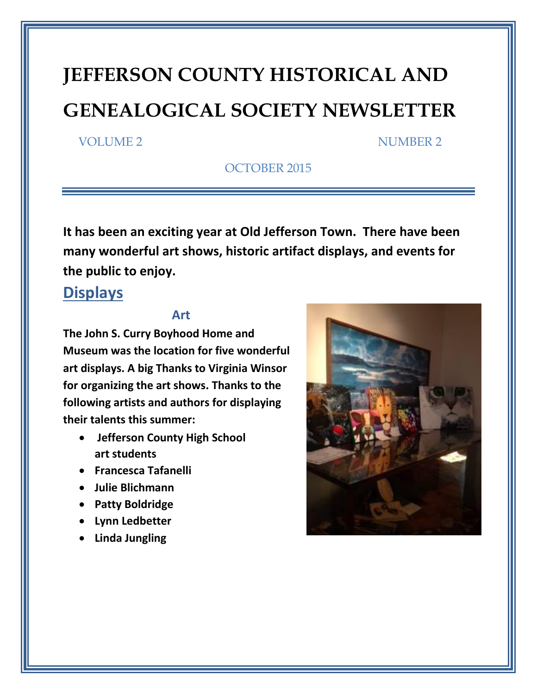# **JEFFERSON COUNTY HISTORICAL AND GENEALOGICAL SOCIETY NEWSLETTER**

#### VOLUME 2 NUMBER 2

OCTOBER 2015

**It has been an exciting year at Old Jefferson Town. There have been many wonderful art shows, historic artifact displays, and events for the public to enjoy.** 

#### **Displays**

#### **Art**

**The John S. Curry Boyhood Home and Museum was the location for five wonderful art displays. A big Thanks to Virginia Winsor for organizing the art shows. Thanks to the following artists and authors for displaying their talents this summer:**

- **Jefferson County High School art students**
- **Francesca Tafanelli**
- **Julie Blichmann**
- **Patty Boldridge**
- **Lynn Ledbetter**
- **Linda Jungling**

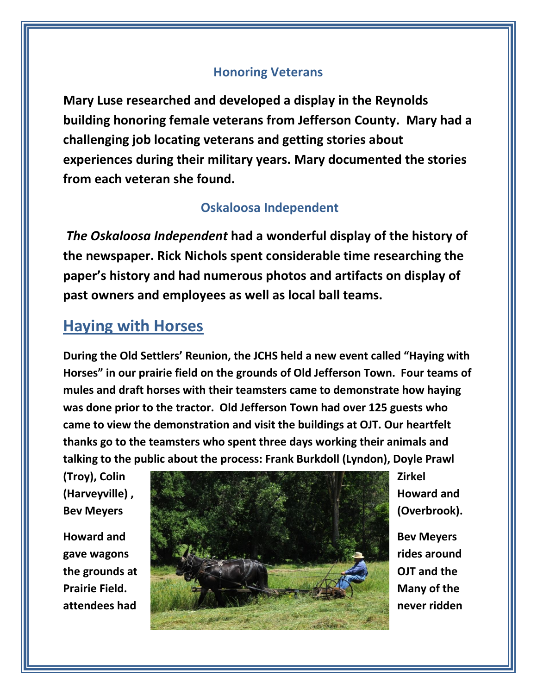#### **Honoring Veterans**

**Mary Luse researched and developed a display in the Reynolds building honoring female veterans from Jefferson County. Mary had a challenging job locating veterans and getting stories about experiences during their military years. Mary documented the stories from each veteran she found.**

#### **Oskaloosa Independent**

*The Oskaloosa Independent* **had a wonderful display of the history of the newspaper. Rick Nichols spent considerable time researching the paper's history and had numerous photos and artifacts on display of past owners and employees as well as local ball teams.**

## **Haying with Horses**

**During the Old Settlers' Reunion, the JCHS held a new event called "Haying with Horses" in our prairie field on the grounds of Old Jefferson Town. Four teams of mules and draft horses with their teamsters came to demonstrate how haying was done prior to the tractor. Old Jefferson Town had over 125 guests who came to view the demonstration and visit the buildings at OJT. Our heartfelt thanks go to the teamsters who spent three days working their animals and talking to the public about the process: Frank Burkdoll (Lyndon), Doyle Prawl** 

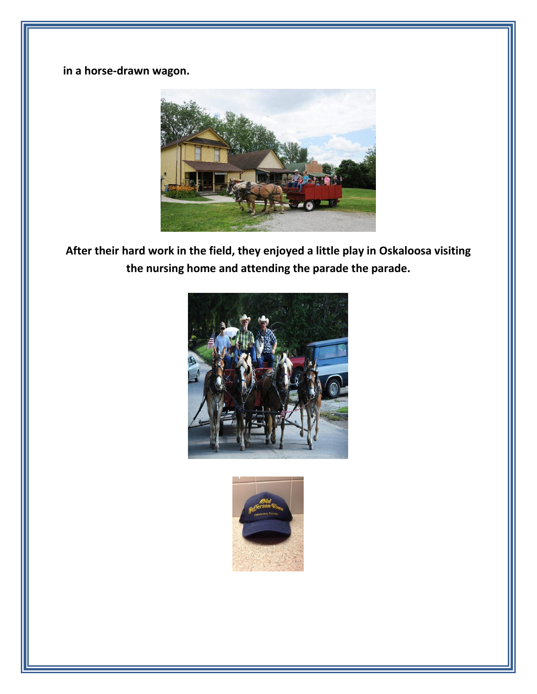**in a horse-drawn wagon.**



**After their hard work in the field, they enjoyed a little play in Oskaloosa visiting the nursing home and attending the parade the parade.**



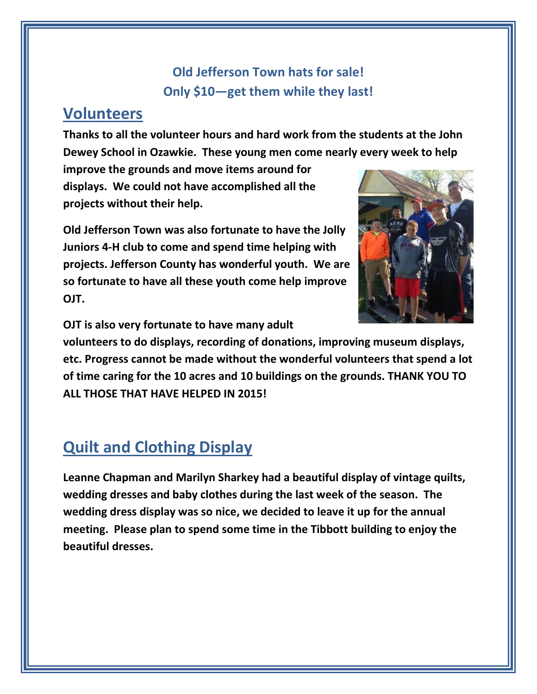### **Old Jefferson Town hats for sale! Only \$10—get them while they last!**

#### **Volunteers**

**Thanks to all the volunteer hours and hard work from the students at the John Dewey School in Ozawkie. These young men come nearly every week to help** 

**improve the grounds and move items around for displays. We could not have accomplished all the projects without their help.**

**Old Jefferson Town was also fortunate to have the Jolly Juniors 4-H club to come and spend time helping with projects. Jefferson County has wonderful youth. We are so fortunate to have all these youth come help improve OJT.**



**OJT is also very fortunate to have many adult** 

**volunteers to do displays, recording of donations, improving museum displays, etc. Progress cannot be made without the wonderful volunteers that spend a lot of time caring for the 10 acres and 10 buildings on the grounds. THANK YOU TO ALL THOSE THAT HAVE HELPED IN 2015!**

# **Quilt and Clothing Display**

**Leanne Chapman and Marilyn Sharkey had a beautiful display of vintage quilts, wedding dresses and baby clothes during the last week of the season. The wedding dress display was so nice, we decided to leave it up for the annual meeting. Please plan to spend some time in the Tibbott building to enjoy the beautiful dresses.**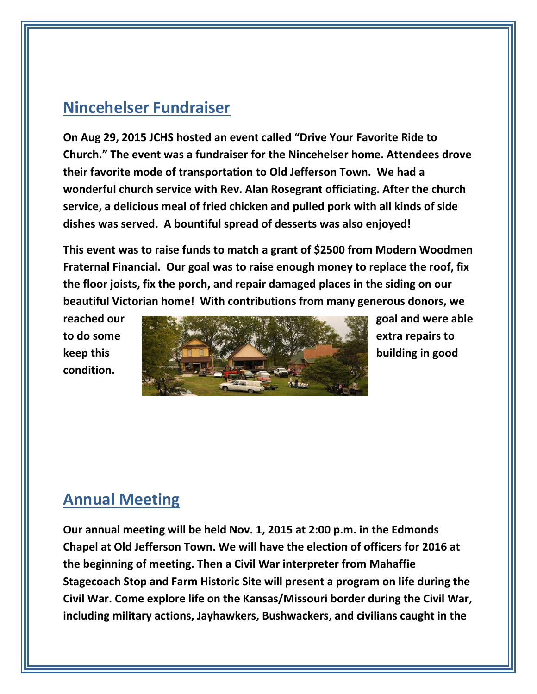# **Nincehelser Fundraiser**

**On Aug 29, 2015 JCHS hosted an event called "Drive Your Favorite Ride to Church." The event was a fundraiser for the Nincehelser home. Attendees drove their favorite mode of transportation to Old Jefferson Town. We had a wonderful church service with Rev. Alan Rosegrant officiating. After the church service, a delicious meal of fried chicken and pulled pork with all kinds of side dishes was served. A bountiful spread of desserts was also enjoyed!**

**This event was to raise funds to match a grant of \$2500 from Modern Woodmen Fraternal Financial. Our goal was to raise enough money to replace the roof, fix the floor joists, fix the porch, and repair damaged places in the siding on our beautiful Victorian home! With contributions from many generous donors, we** 

**condition.**



# **Annual Meeting**

**Our annual meeting will be held Nov. 1, 2015 at 2:00 p.m. in the Edmonds Chapel at Old Jefferson Town. We will have the election of officers for 2016 at the beginning of meeting. Then a Civil War interpreter from Mahaffie Stagecoach Stop and Farm Historic Site will present a program on life during the Civil War. Come explore life on the Kansas/Missouri border during the Civil War, including military actions, Jayhawkers, Bushwackers, and civilians caught in the**